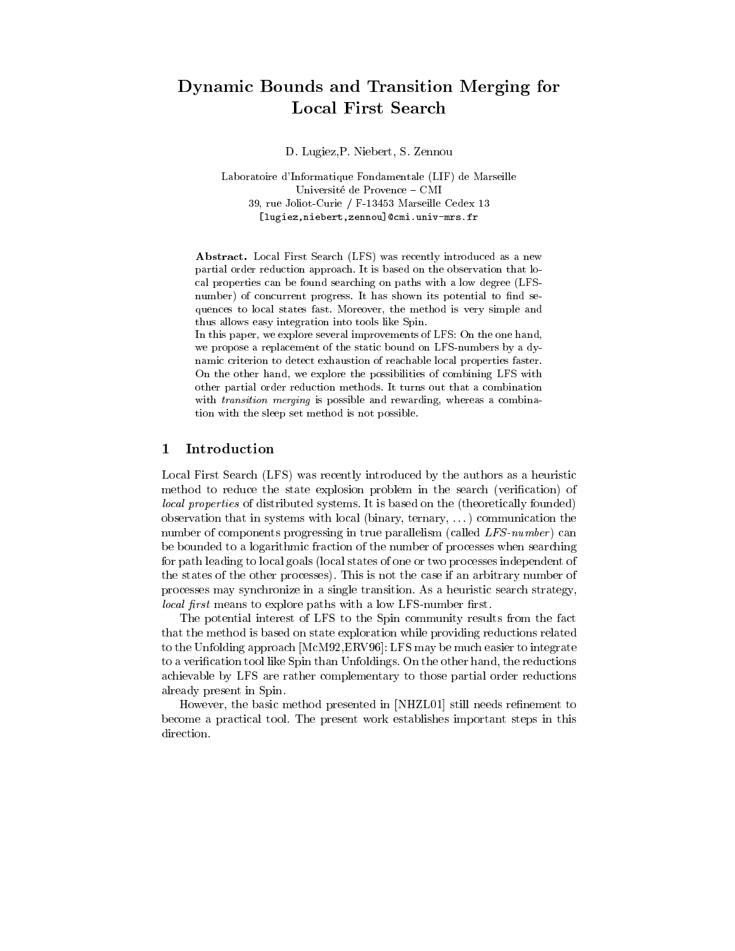# $\mathcal{L}$  , and the Transition Merginan merginal for  $\mathcal{L}$  and  $\mathcal{L}$  for  $\mathcal{L}$

D. Lugiez,P. Niebert, S. Zennou

Laboratoire d'Informatique Fondamentale (LIF) de Marseille Université de Provence - CMI 39, rue Joliot-Curie / F-13453 Marseille Cedex 13 [lugiez,niebert,zennou]@cmi.univ-mrs.fr

Abstract. Local First Search (LFS) was recently introduced as a new partial order reduction approach. It is based on the observation that local properties can be found searching on paths with a low degree (LFS number) of concurrent progress. It has shown its potential to find sequences to local states fast. Moreover, the method is very simple and thus allows easy integration into tools like Spin.

In this paper, we explore several improvements of LFS: On the one hand, we propose a replacement of the static bound on LFS-numbers by a dynamic criterion to detect exhaustion of reachable local properties faster. On the other hand, we explore the possibilities of combining LFS with other partial order reduction methods. It turns out that a combination with *transition merging* is possible and rewarding, whereas a combination with the sleep set method is not possible.

### 1Introduction

Local First Search (LFS) was recently introduced by the authors as a heuristic method to reduce the state explosion problem in the search (verification) of local properties of distributed systems. It is based on the (theoretically founded) observation that in systems with local (binary, ternary, . . . ) communication the number of components progressing in true parallelism (called  $LFS-number$ ) can be bounded to a logarithmic fraction of the number of processes when searching for path leading to local goals (local states of one or two processes independent of the states of the other processes). This is not the case if an arbitrary number of processes may synchronize in a single transition. As a heuristic search strategy, *local first* means to explore paths with a low LFS-number first.

The potential interest of LFS to the Spin community results from the fact that the method is based on state exploration while providing reductions related to the Unfolding approach [McM92,ERV96]: LFS may be much easier to integrate to a verification tool like Spin than Unfoldings. On the other hand, the reductions achievable by LFS are rather complementary to those partial order reductions already present in Spin.

However, the basic method presented in [NHZL01] still needs refinement to become a practical tool. The present work establishes important steps in this direction.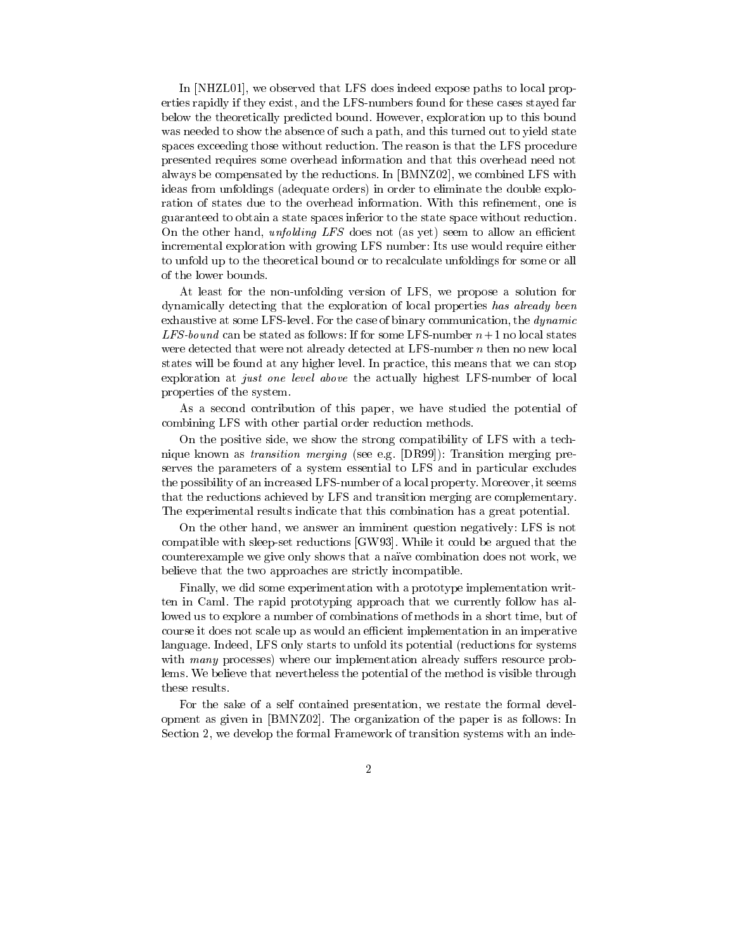In [NHZL01], we observed that LFS does indeed expose paths to local properties rapidly if they exist, and the LFS-numbers found for these cases stayed far below the theoretically predicted bound. However, exploration up to this bound was needed to show the absence of such a path, and this turned out to yield state spaces exceeding those without reduction. The reason is that the LFS procedure presented requires some overhead information and that this overhead need not always be compensated by the reductions. In [BMNZ02], we combined LFS with ideas from unfoldings (adequate orders) in order to eliminate the double exploration of states due to the overhead information. With this refinement, one is guaranteed to obtain a state spaces inferior to the state space without reduction. On the other hand, *unfolding LFS* does not (as yet) seem to allow an efficient incremental exploration with growing LFS number: Its use would require either to unfold up to the theoretical bound or to recalculate unfoldings for some or all of the lower bounds.

At least for the non-unfolding version of LFS, we propose a solution for dynamically detecting that the exploration of local properties has already been exhaustive at some LFS-level. For the case of binary communication, the dynamic LFS-bound can be stated as follows: If for some LFS-number  $n+1$  no local states were detected that were not already detected at LFS-number n then no new local states will be found at any higher level. In practice, this means that we can stop exploration at just one level above the actually highest LFS-number of local properties of the system.

As a second contribution of this paper, we have studied the potential of combining LFS with other partial order reduction methods.

On the positive side, we show the strong compatibility of LFS with a technique known as transition merging (see e.g. [DR99]): Transition merging preserves the parameters of a system essential to LFS and in particular excludes the possibility of an increased LFS-number of a local property. Moreover, it seems that the reductions achieved by LFS and transition merging are complementary. The experimental results indicate that this combination has a great potential.

On the other hand, we answer an imminent question negatively: LFS is not compatible with sleep-set reductions [GW93]. While it could be argued that the counterexample we give only shows that a naïve combination does not work, we believe that the two approaches are strictly incompatible.

Finally, we did some experimentation with a prototype implementation written in Caml. The rapid prototyping approach that we currently follow has allowed us to explore a number of combinations of methods in a short time, but of course it does not scale up as would an efficient implementation in an imperative language. Indeed, LFS only starts to unfold its potential (reductions for systems with many processes) where our implementation already suffers resource problems. We believe that nevertheless the potential of the method is visible through these results.

For the sake of a self contained presentation, we restate the formal development as given in [BMNZ02]. The organization of the paper is as follows: In Section 2, we develop the formal Framework of transition systems with an inde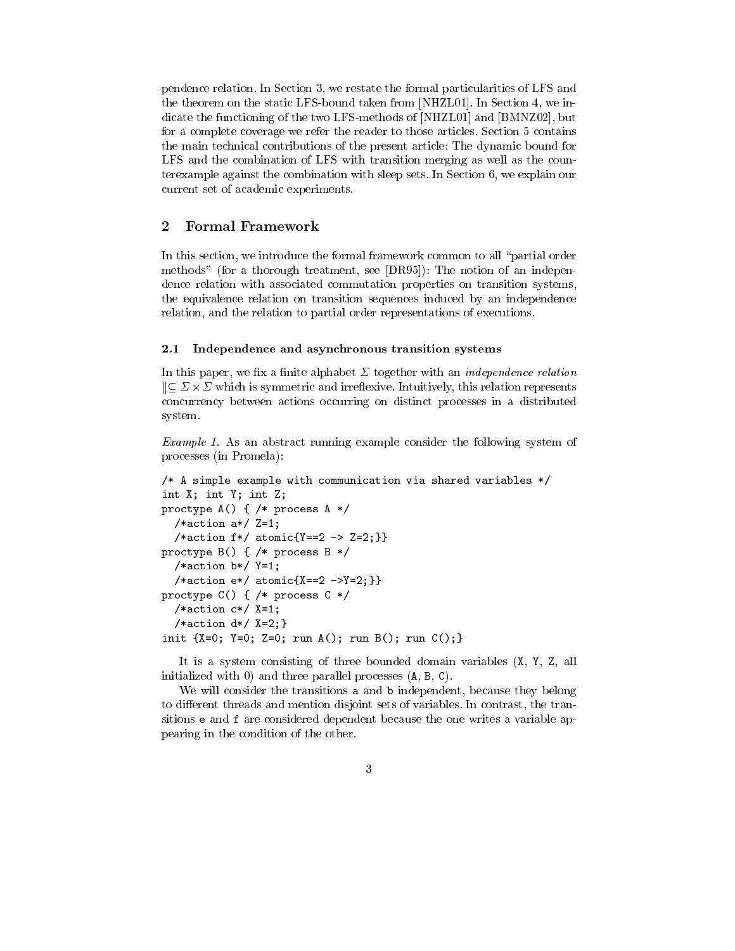pendence relation. In Section 3, we restate the formal particularities of LFS and the theorem on the static LFS-bound taken from [NHZL01]. In Section 4, we indicate the functioning of the two LFS-methods of [NHZL01] and [BMNZ02], but for a complete coverage we refer the reader to those articles. Section 5 contains the main technical contributions of the present article: The dynamic bound for LFS and the combination of LFS with transition merging as well as the counterexample against the combination with sleep sets. In Section 6, we explain our current set of academic experiments.

#### $\overline{2}$  Formal Framework  $-$

In this section, we introduce the formal framework common to all "partial order methods" (for a thorough treatment, see [DR95]): The notion of an independence relation with associated commutation properties on transition systems, the equivalence relation on transition sequences induced by an independence relation, and the relation to partial order representations of executions.

# 2.1 Independence and asynchronous transition systems

In this paper, we fix a finite alphabet  $\Sigma$  together with an *independence relation*  $\parallel$ C  $\,$   $\!\times$   $\,$   $\!\times$   $\,$  which is symmetric and irreflexive. Intuitively, this relation represents concurrency between actions occurring on distinct processes in a distributed system.

Example 1. As an abstract running example consider the following system of processes (in Promela):

```
/* A simple example with communication via shared variables */
int X; int Y; int Z;
proctype A() { /* process A */
  /*action a*/ Z=1;
  /*action f*/ atomic{Y=-2 - > Z=2;}proctype B() { /* process B */
  /*action b*/ Y=1;
  /*action e*/ atomic{X=-2 -Y=2;}proctype C() { /* process C */
  /*action c*/ X=1;
  /*action d*/ X=2;}
init \{X=0; Y=0; Z=0; run A(); run B(); run C(); \}
```
It is a system consisting of three bounded domain variables (X, Y, Z, all initialized with 0) and three parallel processes (A, B, C).

We will consider the transitions a and b independent, because they belong to different threads and mention disjoint sets of variables. In contrast, the transitions e and f are considered dependent because the one writes a variable appearing in the condition of the other.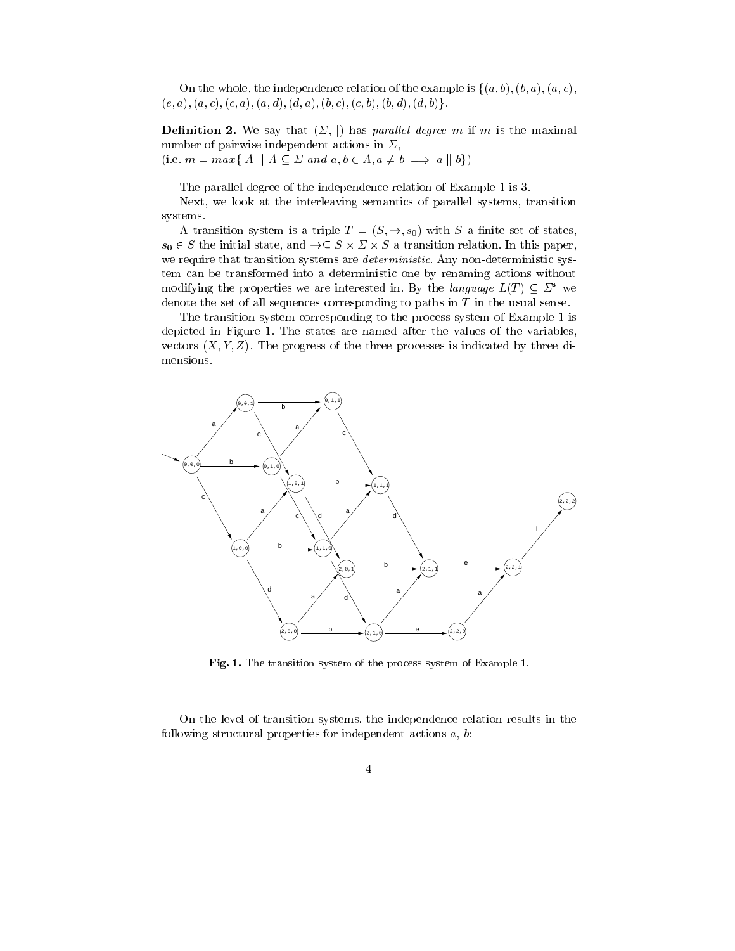On the whole, the independence relation of the example is  $\{(a, b), (b, a), (a, e),\}$  $(e, a), (a, c), (c, a), (a, d), (d, a), (b, c), (c, b), (b, d), (d, b)\}.$ 

**Definition 2.** We say that  $(\Sigma, \|)$  has parallel degree m if m is the maximal number of pairwise independent actions in  $\Sigma$ , (i.e.  $m = max\{|A| \mid A \subseteq \Sigma \text{ and } a, b \in A, a \neq b \implies a \parallel b\})$ 

The parallel degree of the independence relation of Example 1 is 3.

Next, we look at the interleaving semantics of parallel systems, transition systems.

A transition system is a triple  $T = (S, \rightarrow, s_0)$  with S a finite set of states,  $s_0 \in S$  the initial state, and  $\rightarrow \subset S \times \supset \times S$  a transition relation. In this paper, we require that transition systems are *deterministic*. Any non-deterministic system can be transformed into a deterministic one by renaming actions without modifying the properties we are interested in. By the language  $L(T) \subseteq \Sigma^*$  we denote the set of all sequences corresponding to paths in  $T$  in the usual sense.

The transition system corresponding to the process system of Example 1 is depicted in Figure 1. The states are named after the values of the variables, vectors  $(X, Y, Z)$ . The progress of the three processes is indicated by three dimensions.



Fig. 1. The transition system of the process system of Example 1.

On the level of transition systems, the independence relation results in the following structural properties for independent actions  $a, b$ :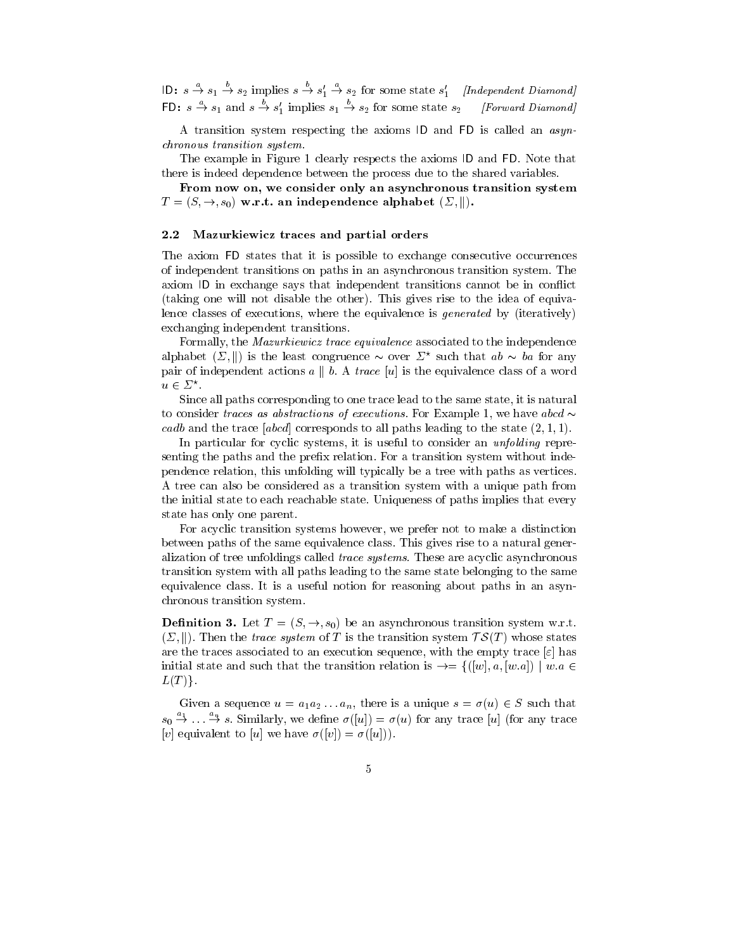**ID:**  $s \rightarrow s_1 \rightarrow s_2$  implies  $s \rightarrow s'_1 \rightarrow s_2$  for some state  $s'_1$  [Independent Diamond] FD:  $s \to s_1$  and  $s \to s_1'$  implies  $s_1 \to s_2$  for some state  $s_2$  [Forward Diamond]

A transition system respecting the axioms ID and FD is called an asynchronous transition system.

The example in Figure 1 clearly respects the axioms ID and FD. Note that there is indeed dependence between the process due to the shared variables.

From now on, we consider only an asynchronous transition system  $T = (S, \rightarrow, s_0)$  w.r.t. an independence alphabet  $(\Sigma, \|)$ .

### 2.2 Mazurkiewicz traces and partial orders

The axiom FD states that it is possible to exchange consecutive occurrences of independent transitions on paths in an asynchronous transition system. The axiom ID in exchange says that independent transitions cannot be in conflict (taking one will not disable the other). This gives rise to the idea of equivalence classes of executions, where the equivalence is *generated* by (iteratively) exchanging independent transitions.

Formally, the Mazurkiewicz trace equivalence associated to the independence alphabet (2, ||) is the least congruence  $\sim$  over 2  $^{\circ}$  such that  $a\overline{b} \sim \overline{b}a$  for any pair of independent actions  $a \parallel b$ . A trace [u] is the equivalence class of a word  $u \in \mathcal{L}$  .

Since all paths corresponding to one trace lead to the same state, it is natural to consider traces as abstractions of executions. For Example 1, we have abcd  $\sim$ cadb and the trace  $[abcd]$  corresponds to all paths leading to the state  $(2,1,1)$ .

In particular for cyclic systems, it is useful to consider an *unfolding* representing the paths and the prefix relation. For a transition system without independence relation, this unfolding will typically be a tree with paths as vertices. A tree can also be considered as a transition system with a unique path from the initial state to each reachable state. Uniqueness of paths implies that every state has only one parent.

For acyclic transition systems however, we prefer not to make a distinction between paths of the same equivalence class. This gives rise to a natural generalization of tree unfoldings called trace systems. These are acyclic asynchronous transition system with all paths leading to the same state belonging to the same equivalence class. It is a useful notion for reasoning about paths in an asynchronous transition system.

**Demition 3.** Let  $T = (S, \rightarrow, s_0)$  be an asynchronous transition system w.r.t. **Definition 3.** Let  $T = (S, \rightarrow, s_0)$  be an asynchronous transition system w.r.t.  $(\Sigma, \|)$ . Then the *trace system* of T is the transition system  $\mathcal{T}S(T)$  whose states are the traces associated to an execution sequence, with the empty trace  $[\varepsilon]$  has initial state and such that the transition relation is  $\rightarrow = \{([w], a, [w.a]) \mid w.a \in$  $L(T)$ .

Given a sequence  $u = a_1 a_2 ... a_n$ , there is a unique  $s = \sigma(u) \in S$  such that  $s_0 \rightarrow \ldots \rightarrow s$ . Similarly, we define  $\sigma(|u|) = \sigma(u)$  for any trace  $|u|$  (for any trace [v] equivalent to [u] we have  $\sigma([v]) = \sigma([u])$ .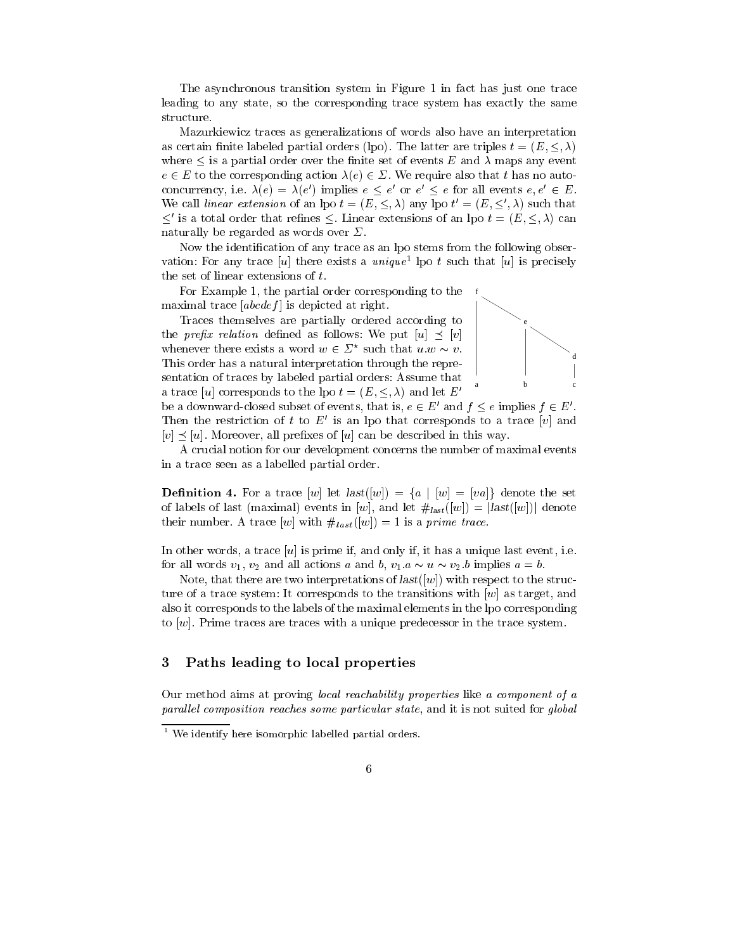The asynchronous transition system in Figure 1 in fact has just one trace leading to any state, so the corresponding trace system has exactly the same structure.

Mazurkiewicz traces as generalizations of words also have an interpretation as certain finite labeled partial orders (lpo). The latter are triples  $t = (E, \leq, \lambda)$ where  $\leq$  is a partial order over the finite set of events E and  $\lambda$  maps any event  $e \in E$  to the corresponding action  $\lambda(e) \in \Sigma$ . We require also that t has no autoconcurrency, i.e.  $\lambda(e) = \lambda(e)$  implies  $e \leq e$  or  $e \leq e$  for all events  $e, e \in E$ . We call *unear extension* of an ipo  $t = (E, \leq, \lambda)$  any lpo  $t = (E, \leq, \lambda)$  such that  $\le$  is a total order that refines  $\le$ . Linear extensions of an ipo  $t = (E, \le, \lambda)$  can naturally be regarded as words over  $\Sigma$ .

Now the identification of any trace as an lpo stems from the following observation: For any trace  $|u|$  there exists a  $unique$  tho t such that  $|u|$  is precisely the set of linear extensions of t.

For Example 1, the partial order corresponding to the maximal trace  $[abcdef]$  is depicted at right.

Traces themselves are partially ordered according to the *prefix relation* defined as follows: We put  $[u] \preceq [v]$ whenever there exists a word  $w \in \mathcal{Z}^+$  such that  $u.w \sim v.$ This order has a natural interpretation through the representation of traces by labeled partial orders: Assume that a trace [u] corresponds to the lpo  $t = (E, \leq, \lambda)$  and let E<sup>t</sup>



be a downward-closed subset of events, that is,  $e \in E'$  and  $f \leq e$  implies  $f \in E'$ . Then the restriction of t to E' is an lpo that corresponds to a trace [v] and  $[v] \prec [u]$ . Moreover, all prefixes of [u] can be described in this way.

A crucial notion for our development concerns the number of maximal events in a trace seen as a labelled partial order.

**Definition 4.** For a trace  $[w]$  let  $last([w]) = \{a \mid [w] = [va]\}$  denote the set of labels of last (maximal) events in [w], and let  $\#_{last}([w]) = |last([w])|$  denote their number. A trace  $[w]$  with  $\#_{last}([w]) = 1$  is a prime trace.

In other words, a trace  $[u]$  is prime if, and only if, it has a unique last event, i.e. for all words  $v_1, v_2$  and all actions a and b,  $v_1 \cdot a \sim u \sim v_2 \cdot b$  implies  $a = b$ .

Note, that there are two interpretations of  $last([w])$  with respect to the structure of a trace system: It corresponds to the transitions with [w] as target, and also it corresponds to the labels of the maximal elements in the lpo corresponding to  $[w]$ . Prime traces are traces with a unique predecessor in the trace system.

### 3Paths leading to local properties

Our method aims at proving local reachability properties like a component of a parallel composition reaches some particular state, and it is not suited for global

<sup>1</sup> We identify here isomorphic labelled partial orders.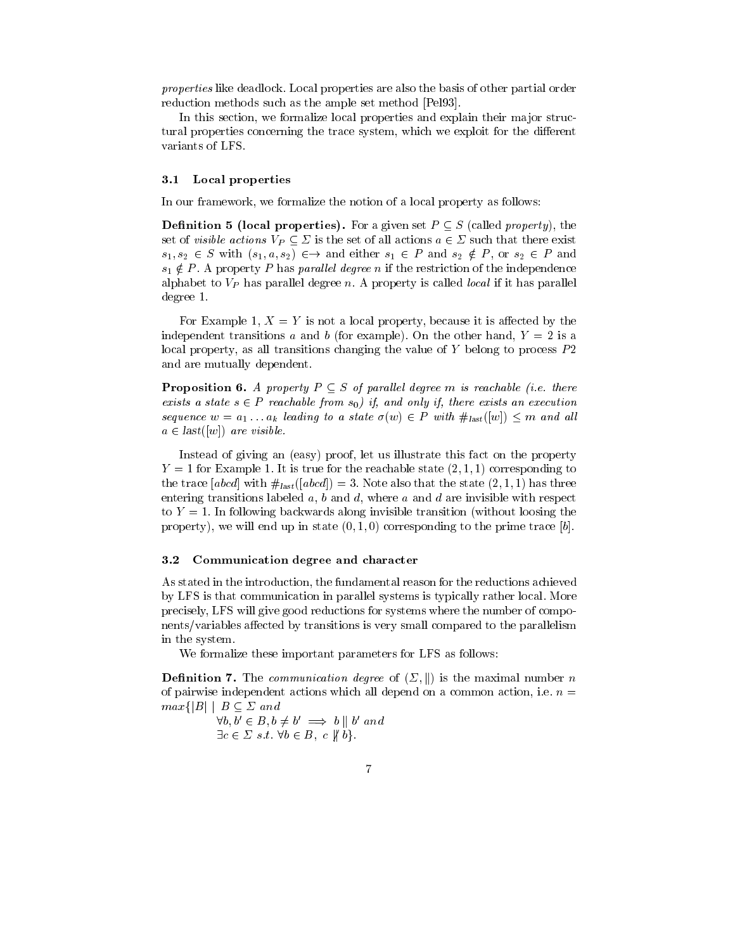properties like deadlock. Local properties are also the basis of other partial order reduction methods such as the ample set method [Pel93].

In this section, we formalize local properties and explain their major structural properties concerning the trace system, which we exploit for the different variants of LFS.

### 3.1 Local properties

In our framework, we formalize the notion of a local property as follows:

**Definition 5 (local properties).** For a given set  $P \subset S$  (called *property*), the set of *visible actions*  $V_P \subset \Sigma$  is the set of all actions  $a \in \Sigma$  such that there exist  $s_1, s_2 \in S$  with  $(s_1, a, s_2) \in \rightarrow$  and either  $s_1 \in P$  and  $s_2 \notin P$ , or  $s_2 \in P$  and  $s_1 \notin P$ . A property P has parallel degree n if the restriction of the independence alphabet to  $V_P$  has parallel degree n. A property is called *local* if it has parallel degree 1.

For Example 1,  $X = Y$  is not a local property, because it is affected by the independent transitions a and b (for example). On the other hand,  $Y = 2$  is a local property, as all transitions changing the value of  $Y$  belong to process  $P2$ and are mutually dependent.

**Proposition 6.** A property  $P \subseteq S$  of parallel degree m is reachable (i.e. there exists a state  $s \in P$  reachable from  $s_0$ ) if, and only if, there exists an execution sequence  $w = a_1 \ldots a_k$  leading to a state  $\sigma(w) \in P$  with  $\#_{\text{last}}([w]) \leq m$  and all  $a \in last([w])$  are visible.

Instead of giving an (easy) proof, let us illustrate this fact on the property  $Y = 1$  for Example 1. It is true for the reachable state  $(2,1,1)$  corresponding to the trace [abcd] with  $\#_{last}([abcd]) = 3$ . Note also that the state  $(2,1,1)$  has three entering transitions labeled  $a, b$  and  $d$ , where  $a$  and  $d$  are invisible with respect to  $Y = 1$ . In following backwards along invisible transition (without loosing the property), we will end up in state  $(0, 1, 0)$  corresponding to the prime trace  $[b]$ .

### 3.2 Communication degree and character

As stated in the introduction, the fundamental reason for the reductions achieved by LFS is that communication in parallel systems is typically rather local. More precisely, LFS will give good reductions for systems where the number of components/variables affected by transitions is very small compared to the parallelism in the system.

We formalize these important parameters for LFS as follows:

**Definition 7.** The *communication degree* of  $(\Sigma, \|)$  is the maximal number n of pairwise independent actions which all depend on a common action, i.e. n = **Definition 7.** The *communica*<br>of pairwise independent actions<br> $max\{|B| \mid B \subseteq \Sigma \text{ and }$ 

> $\forall v, v \in D, v \neq v \implies v \parallel v \text{ and }$  $\exists c \in \Sigma \ s.t. \ \forall b \in B, \ c \notin b$ .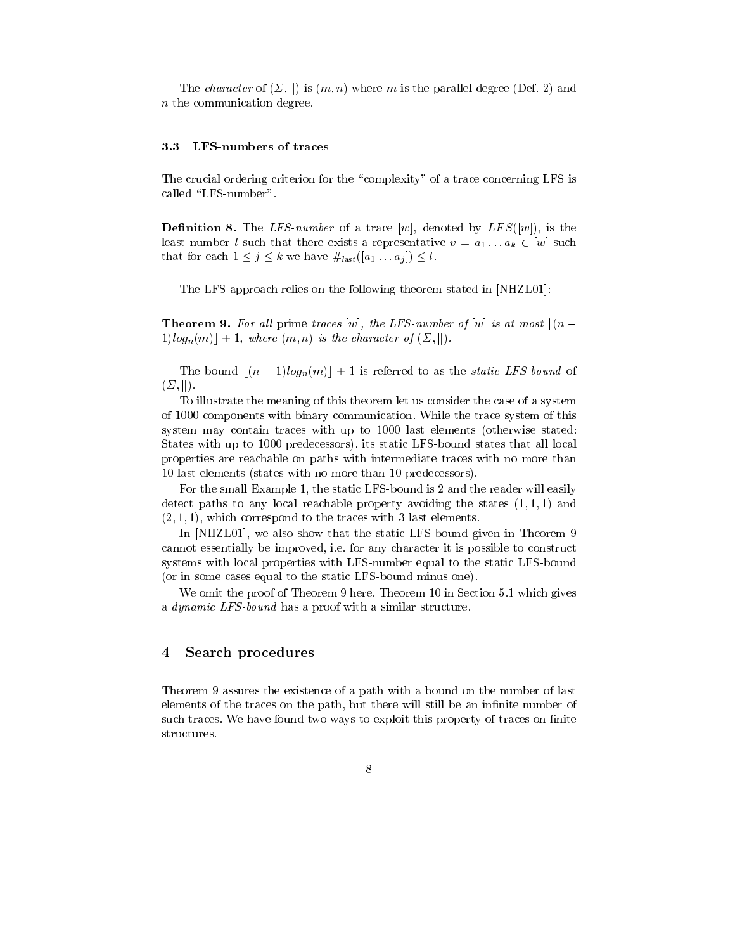The *character* of  $(\Sigma, \|)$  is  $(m, n)$  where m is the parallel degree (Def. 2) and n the communication degree.

### 3.3 LFS-numbers of traces

The crucial ordering criterion for the "complexity" of a trace concerning LFS is called "LFS-number".

**Definition 8.** The LFS-number of a trace  $[w]$ , denoted by LFS( $[w]$ ), is the least number l such that there exists a representative  $v = a_1 \dots a_k \in [w]$  such that for each  $1 \leq j \leq k$  we have  $\#_{last}([a_1 \dots a_j]) \leq l$ .

The LFS approach relies on the following theorem stated in [NHZL01]:

**Theorem 9.** For all prime traces [w], the LFS-number of [w] is at most  $|(n 1|log_n(m)| + 1$ , where  $(m, n)$  is the character of  $(\Sigma, \|)$ .

The bound  $|(n - 1)log_n(m)| + 1$  is referred to as the *static LFS-bound* of  $(\Sigma, ||).$ 

To illustrate the meaning of this theorem let us consider the case of a system of 1000 components with binary communication. While the trace system of this system may contain traces with up to 1000 last elements (otherwise stated: States with up to 1000 predecessors), its static LFS-bound states that all local properties are reachable on paths with intermediate traces with no more than 10 last elements (states with no more than 10 predecessors).

For the small Example 1, the static LFS-bound is 2 and the reader will easily detect paths to any local reachable property avoiding the states  $(1, 1, 1)$  and  $(2, 1, 1)$ , which correspond to the traces with 3 last elements.

In [NHZL01], we also show that the static LFS-bound given in Theorem 9 cannot essentially be improved, i.e. for any character it is possible to construct systems with local properties with LFS-number equal to the static LFS-bound (or in some cases equal to the static LFS-bound minus one).

We omit the proof of Theorem 9 here. Theorem 10 in Section 5.1 which gives a dynamic LFS-bound has a proof with a similar structure.

### 4Search procedures

Theorem 9 assures the existence of a path with a bound on the number of last elements of the traces on the path, but there will still be an infinite number of such traces. We have found two ways to exploit this property of traces on finite structures.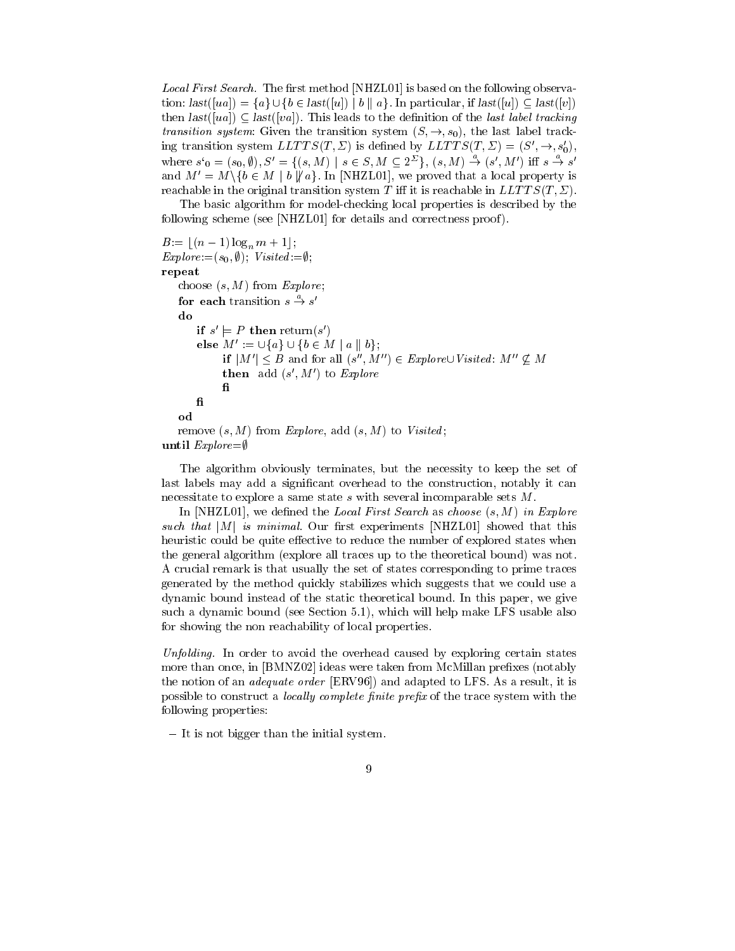*Local First Search.* The first method [NHZL01] is based on the following observation:  $last([ua]) = \{a\} \cup \{b \in last([u]) \mid b \mid a\}$ . In particular, if  $last([u]) \subset last([v])$ then  $last([ua]) \subseteq last([va])$ . This leads to the definition of the *last label tracking* transition system: Given the transition system  $(S, \rightarrow, s_0)$ , the last label tracking transition system  $LLTTS(T, \Sigma)$  is defined by  $LLTTS(T, \Sigma)=(S', \rightarrow, s'_0),$ where  $s_0 = (s_0, \emptyset), S' = \{(s, M) \mid s \in S, M \subseteq 2^2\}, (s, M) \rightarrow (s', M')$  iff  $s \rightarrow s'$ and  $M' = M \setminus \{b \in M \mid b \mid a\}$ . In [NHZL01], we proved that a local property is reachable in the original transition system T iff it is reachable in  $LLTTS(T, \Sigma)$ .

The basic algorithm for model-checking local properties is described by the following scheme (see [NHZL01] for details and correctness proof ).

```
B:= \lfloor (n - 1) \log_n m + 1 \rfloor;Explore:=(s_0, \emptyset); Visted: = \emptyset;repeat
    choose (s, M) from Explore;
     for each transition s \to s'do
           if s \models P then return(s)
          else M' := \bigcup \{a\} \cup \{b \in M \mid a \parallel b\};\begin{aligned} &\models P \textbf{ then } \text{return}(s')\ &M':=\cup\{a\}\cup\{b\in M\mid a\parallel b\};\ &\textbf{if } \lvert M'\rvert < B \textbf{ and for all } (s'',M'')\in \textit{Explore}\cup \textit{Visited: } M''\not\subseteq M \end{aligned}then add (s, m) to Explore
          \mathbf fod
    remove (s, M) from Explore, add (s, M) to Visited;
```
until  $Explore = \emptyset$ 

The algorithm obviously terminates, but the necessity to keep the set of last labels may add a signicant overhead to the construction, notably it can necessitate to explore a same state s with several incomparable sets M.

In  $[NHZL01]$ , we defined the *Local First Search* as *choose*  $(s, M)$  in Explore such that  $|M|$  is minimal. Our first experiments [NHZL01] showed that this heuristic could be quite effective to reduce the number of explored states when the general algorithm (explore all traces up to the theoretical bound) was not. A crucial remark is that usually the set of states corresponding to prime traces generated by the method quickly stabilizes which suggests that we could use a dynamic bound instead of the static theoretical bound. In this paper, we give such a dynamic bound (see Section 5.1), which will help make LFS usable also for showing the non reachability of local properties.

Unfolding. In order to avoid the overhead caused by exploring certain states more than once, in [BMNZ02] ideas were taken from McMillan prefixes (notably the notion of an *adequate order* [ERV96]) and adapted to LFS. As a result, it is possible to construct a *locally complete finite prefix* of the trace system with the following properties:

- It is not bigger than the initial system.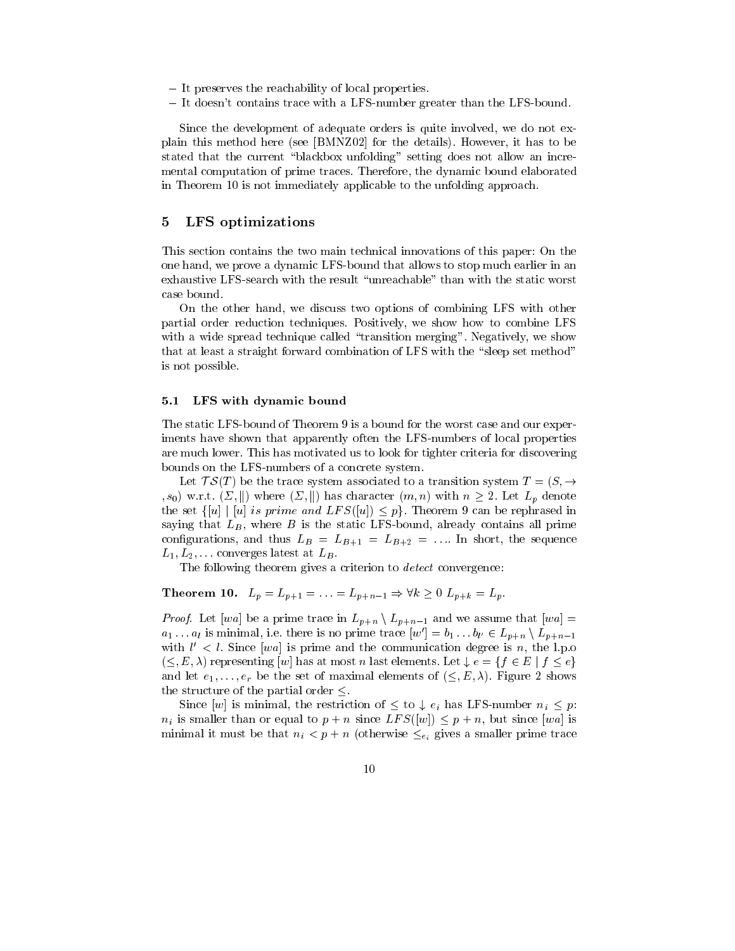- ${\rm -I}$  It preserves the reachability of local properties.
- It doesn't contains trace with a LFS-number greater than the LFS-bound.

Since the development of adequate orders is quite involved, we do not explain this method here (see [BMNZ02] for the details). However, it has to be stated that the current "blackbox unfolding" setting does not allow an incremental computation of prime traces. Therefore, the dynamic bound elaborated in Theorem 10 is not immediately applicable to the unfolding approach.

### 5LFS optimizations

This section contains the two main technical innovations of this paper: On the one hand, we prove a dynamic LFS-bound that allows to stop much earlier in an exhaustive LFS-search with the result "unreachable" than with the static worst

On the other hand, we discuss two options of combining LFS with other partial order reduction techniques. Positively, we show how to combine LFS with a wide spread technique called "transition merging". Negatively, we show that at least a straight forward combination of LFS with the "sleep set method" is not possible.

### 5.1 LFS with dynamic bound

The static LFS-bound of Theorem 9 is a bound for the worst case and our experiments have shown that apparently often the LFS-numbers of local properties are much lower. This has motivated us to look for tighter criteria for discovering bounds on the LFS-numbers of a concrete system.

Let  $TS(T)$  be the trace system associated to a transition system  $T = (S, \rightarrow$  $(s_0)$  w.r.t.  $(\Sigma, \|)$  where  $(\Sigma, \|)$  has character  $(m, n)$  with  $n \geq 2$ . Let  $L_p$  denote the set  $\{[u] \mid [u]$  is prime and  $LFS([u]) \leq p\}$ . Theorem 9 can be rephrased in saying that  $L_B$ , where  $B$  is the static LFS-bound, already contains all prime configurations, and thus  $L_B = L_{B+1} = L_{B+2} = \dots$  In short, the sequence  $L_1, L_2, \ldots$  converges latest at  $L_B$ .

The following theorem gives a criterion to *detect* convergence:

# **Theorem 10.**  $L_p = L_{p+1} = ... = L_{p+n-1} \Rightarrow \forall k \ge 0$   $L_{p+k} = L_p$ .

*Proof.* Let [wa] be a prime trace in  $L_{p+n} \setminus L_{p+n-1}$  and we assume that [wa] =  $a_1 \ldots a_l$  is minimal, i.e. there is no prime trace  $|w'| = b_1 \ldots b_{l'} \in L_{p+n} \setminus L_{p+n-1}$ with  $\ell \leq \ell$ . Since  $|wa|$  is prime and the communication degree is  $n$ , the l.p.o.  $(<, E, \lambda)$  representing  $[w]$  has at most n last elements. Let  $\downarrow e = \{f \in E \mid f \leq e\}$ and let  $e_1, \ldots, e_r$  be the set of maximal elements of  $(\leq, E, \lambda)$ . Figure 2 shows the structure of the partial order  $\leq$ .

Since [w] is minimal, the restriction of  $\leq$  to  $\downarrow$  e<sub>i</sub> has LFS-number  $n_i \leq p$ :  $n_i$  is smaller than or equal to  $p + n$  since  $LFS([w]) \leq p + n$ , but since [wa] is minimal it must be that  $n_i < p + n$  (otherwise  $\leq_{e_i}$  gives a smaller prime trace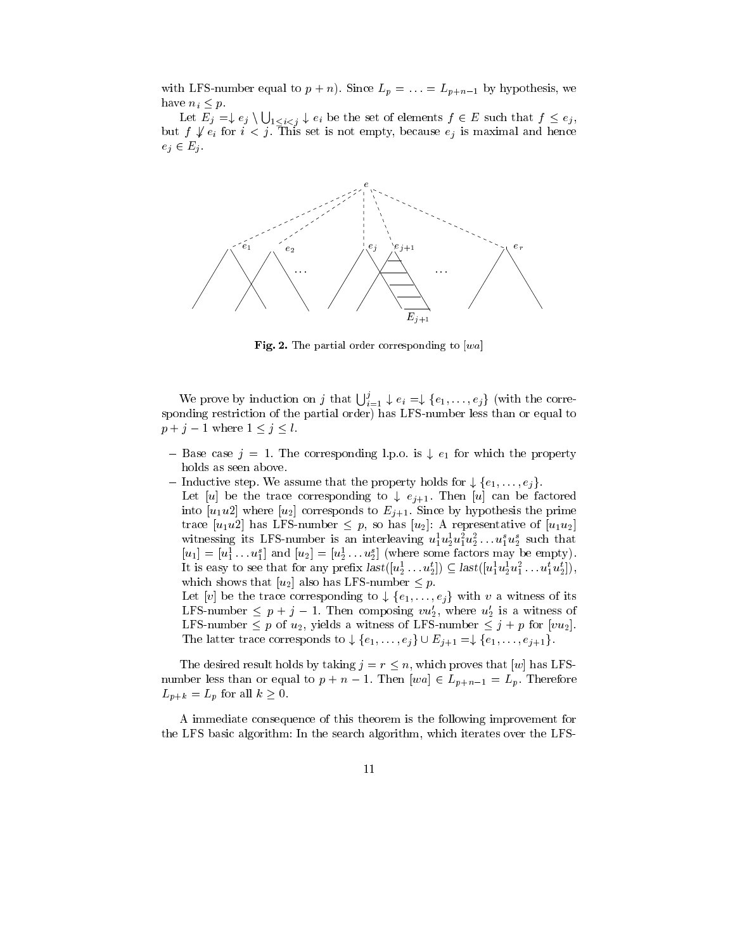with LFS-number equal to  $p + n$ ). Since  $L_p = \ldots = L_{p+n-1}$  by hypothesis, we have  $n_i \leq p$ .

Let  $E_j = \downarrow e_j \setminus \bigcup_{1 \leq i \leq j} \downarrow e_i$  be the set of elements  $f \in E$  such that  $f \leq e_j,$ but  $f \nsubseteq e_i$  for  $i < j$ . This set is not empty, because  $e_j$  is maximal and hence  $e_j \in E_j$ .



Fig. 2. The partial order corresponding to  $[wa]$ 

We prove by induction on j that  $\bigcup_{i=1}^{j} \downarrow e_i = \downarrow \{e_1,\ldots,e_j\}$  (with the corresponding restriction of the partial order) has LFS-number less than or equal to  $p + j - 1$  where  $1 \leq j \leq l$ .

- Base case  $j = 1$ . The corresponding l.p.o. is  $\downarrow e_1$  for which the property holds as seen above.<br>- Inductive step. We assume that the property holds for  $\downarrow \{e_1, \ldots, e_i\}$ . holds as seen above.
- - Let [u] be the trace corresponding to  $\downarrow e_{j+1}$ . Then [u] can be factored into  $[u_1u_2]$  where  $[u_2]$  corresponds to  $E_{j+1}$ . Since by hypothesis the prime trace  $[u_1u_2]$  has LFS-number  $\leq p$ , so has  $[u_2]$ : A representative of  $[u_1u_2]$ withessing its LFS-number is an interleaving  $u_1^*u_2^*u_1^*u_2^* \ldots u_1^*u_2^*$  such that  $[u_1]=u_1 \ldots u_1$  and  $[u_2]=u_2 \ldots u_2$  (where some factors may be empty). It is easy to see that for any prenx  $\textit{last}([u_2 \dots u_2]) \subseteq \textit{last}([u_1^{\text{}} u_2^{\text{}} u_1^{\text{}} \dots u_1^{\text{}} u_2^{\text{}}])$ , which shows that  $[u_2]$  also has LFS-number  $\leq p$ . It is easy to see that for any prefix  $last([u_2^1 \dots u_2^t]) \subseteq last([u_1^1 u_2^1 u_1^2 \dots u_1^t u_2^t]),$ <br>which shows that  $[u_2]$  also has LFS-number  $\leq p$ .<br>Let  $[v]$  be the trace corresponding to  $\downarrow \{e_1, \dots, e_i\}$  with v a witness of its

LFS-number  $\leq p + j - 1$ . Then composing  $vu_2$ , where  $u_2$  is a witness of LFS-number  $p$  or  $u_2$ , yields a witness of LFS-number  $q$  + p for  $|vu_2|$ . LFS-number  $\leq p + j - 1$ . Then composing  $vu'_2$ , where  $u'_2$  is a witness of LFS-number  $\leq p$  of  $u_2$ , yields a witness of LFS-number  $\leq j + p$  for  $[vu_2]$ .<br>The latter trace corresponds to  $\downarrow \{e_1, \ldots, e_j\} \cup E_{j+1} = \downarrow \{e_$ 

The desired result holds by taking  $j = r \leq n$ , which proves that [w] has LFSnumber less than or equal to  $p + n - 1$ . Then  $[wa] \in L_{p+n-1} = L_p$ . Therefore  $L_{p+k} = L_p$  for all  $k \geq 0$ .

A immediate consequence of this theorem is the following improvement for the LFS basic algorithm: In the search algorithm, which iterates over the LFS-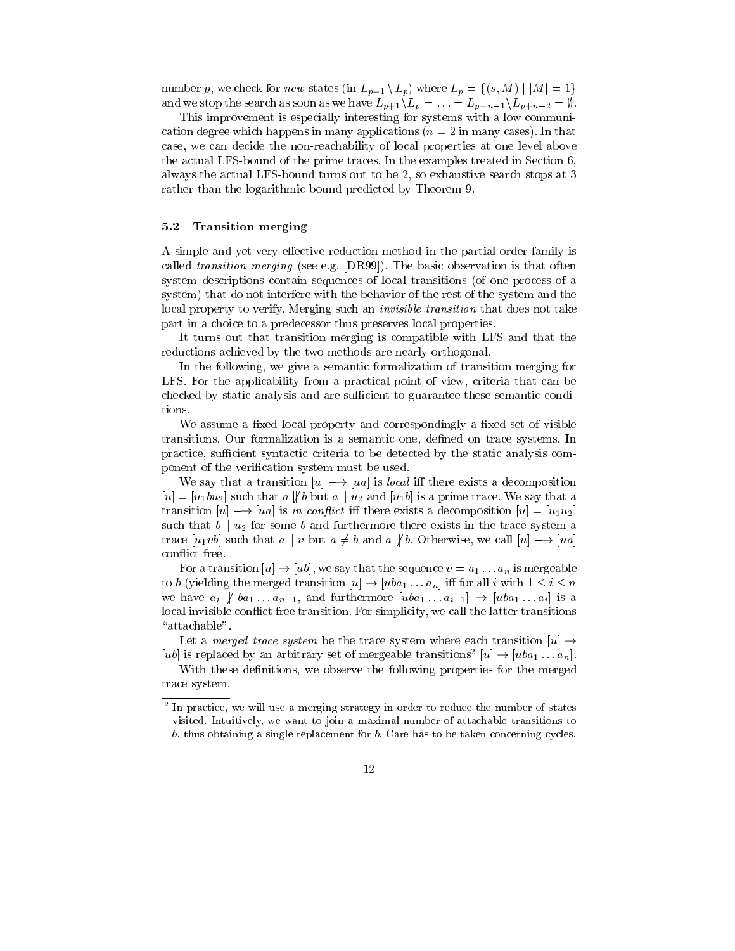number p, we check for new states (in  $L_{p+1} \setminus L_p$ ) where  $L_p = \{(s, M) \mid |M| = 1\}$ and we stop the search as soon as we have  $L_{p+1}\setminus L_p = \ldots = L_{p+n-1}\setminus L_{p+n-2} = \emptyset$ .

This improvement is especially interesting for systems with a low communication degree which happens in many applications  $(n = 2$  in many cases). In that case, we can decide the non-reachability of local properties at one level above the actual LFS-bound of the prime traces. In the examples treated in Section 6, always the actual LFS-bound turns out to be 2, so exhaustive search stops at 3 rather than the logarithmic bound predicted by Theorem 9.

# 5.2 Transition merging

A simple and yet very effective reduction method in the partial order family is called transition merging (see e.g. [DR99]). The basic observation is that often system descriptions contain sequences of local transitions (of one process of a system) that do not interfere with the behavior of the rest of the system and the local property to verify. Merging such an *invisible transition* that does not take part in a choice to a predecessor thus preserves local properties.

It turns out that transition merging is compatible with LFS and that the reductions achieved by the two methods are nearly orthogonal.

In the following, we give a semantic formalization of transition merging for LFS. For the applicability from a practical point of view, criteria that can be checked by static analysis and are sufficient to guarantee these semantic conditions.

We assume a fixed local property and correspondingly a fixed set of visible transitions. Our formalization is a semantic one, defined on trace systems. In practice, sufficient syntactic criteria to be detected by the static analysis component of the verication system must be used.

We say that a transition  $[u] \rightarrow [ua]$  is *local* iff there exists a decomposition  $[u]=[u_1bu_2]$  such that a  $\sharp b$  but a  $\sharp u_2$  and  $[u_1b]$  is a prime trace. We say that a transition  $[u] \rightarrow [ua]$  is in conflict iff there exists a decomposition  $[u] = [u_1 u_2]$ such that  $b \parallel u_2$  for some b and furthermore there exists in the trace system a trace  $[u_1v_0]$  such that  $a \parallel v$  but  $a \neq b$  and  $a \not\parallel b$ . Otherwise, we call  $[u] \rightarrow [ua]$ con
ict free.

For a transition  $[u] \rightarrow [ub]$ , we say that the sequence  $v = a_1 \dots a_n$  is mergeable to b (yielding the merged transition  $[u] \to [uba_1 \dots a_n]$  iff for all i with  $1 \le i \le n$ we have  $a_i \not\parallel ba_1 \ldots a_{n-1}$ , and furthermore  $[uba_1 \ldots a_{i-1}] \rightarrow [uba_1 \ldots a_i]$  is a local invisible conflict free transition. For simplicity, we call the latter transitions "attachable".

Let a *merged trace system* be the trace system where each transition  $[u] \rightarrow$  $|u_0|$  is replaced by an arbitrary set of mergeable transitions  $|u| \to |u_0 a_1 \dots a_n|$ .

With these definitions, we observe the following properties for the merged trace system.

<sup>2</sup> In practice, we will use a merging strategy in order to reduce the number of states visited. Intuitively, we want to join a maximal number of attachable transitions to b, thus obtaining a single replacement for b. Care has to be taken concerning cycles.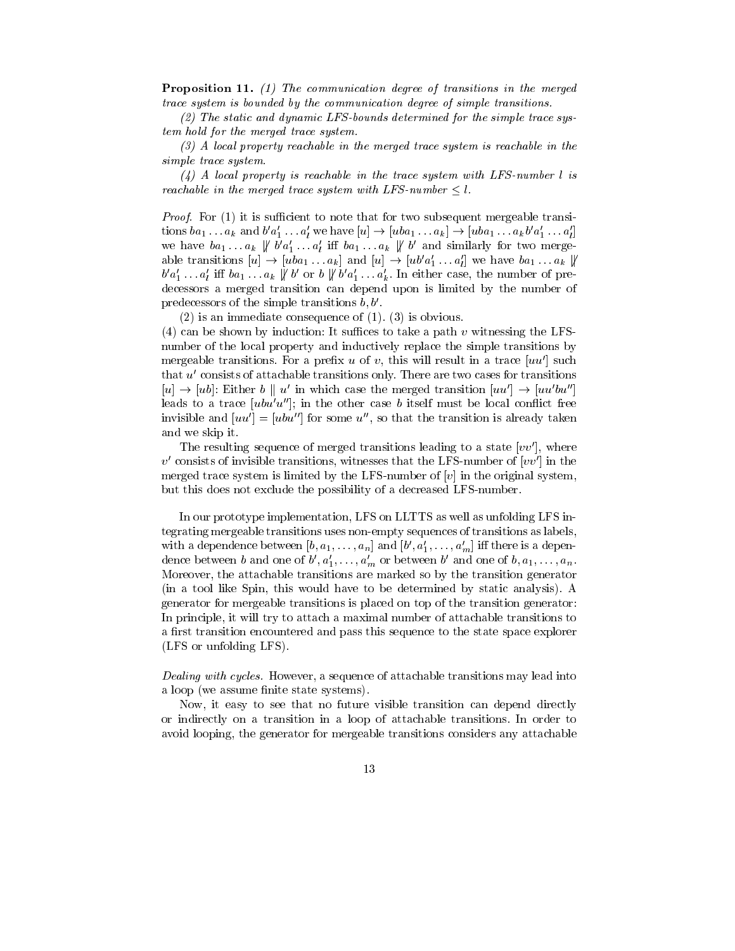Proposition 11. (1) The communication degree of transitions in the merged trace system is bounded by the communication degree of simple transitions.

(2) The static and dynamic LFS-bounds determined for the simple trace system hold for the merged trace system.

(3) A local property reachable in the merged trace system is reachable in the simple trace system.

 $(4)$  A local property is reachable in the trace system with LFS-number l is reachable in the merged trace system with LFS-number  $\leq l$ .

*Proof.* For  $(1)$  it is sufficient to note that for two subsequent mergeable transitions  $ba_1 \ldots a_k$  and  $b \ a_1 \ldots a_l$  we have  $[u] \rightarrow [uba_1 \ldots a_k] \rightarrow [uba_1 \ldots a_k b \ a_1 \ldots a_l]$ we have  $oa_1 \ldots a_k \, \nparallel a a_1 \ldots a_l$  in  $oa_1 \ldots a_k \, \parallel a$  and similarly for two mergeable transitions  $[u] \to [uba_1 \dots a_k]$  and  $[u] \to [ub'a'_1 \dots a'_l]$  we have  $ba_1 \dots a_k \nparallel$  $\sigma \, a_1 \ldots a_l$  in  $\sigma a_1 \ldots a_k$   $\uparrow \sigma$  or  $\sigma \, \uparrow \sigma \, a_1 \ldots a_k$ . In either case, the number of predecessors a merged transition can depend upon is limited by the number of predecessors of the simple transitions  $b, b'$ .

(2) is an immediate consequence of (1). (3) is obvious.

(4) can be shown by induction: It suffices to take a path v witnessing the LFSnumber of the local property and inductively replace the simple transitions by mergeable transitions. For a prefix u of v, this will result in a trace  $|uu'|$  such that  $u'$  consists of attachable transitions only. There are two cases for transitions  $[u] \to [ub]$ : Either b || u' in which case the merged transition  $[uu'] \to [uu'bu'']$ leads to a trace  $[ubu'u'']$ ; in the other case b itself must be local conflict free invisible and  $|uu'|=|ubu''|$  for some u'', so that the transition is already taken and we skip it.

The resulting sequence of merged transitions leading to a state  $[vv']$ , where  $v'$  consists of invisible transitions, witnesses that the LFS-number of  $[vv']$  in the merged trace system is limited by the LFS-number of  $[v]$  in the original system, but this does not exclude the possibility of a decreased LFS-number.

In our prototype implementation, LFS on LLTTS as well as unfolding LFS integrating mergeable transitions uses non-empty sequences of transitions as labels, with a dependence between  $[v, a_1, \ldots, a_n]$  and  $[v\;, a_1, \ldots, a_m]$  in there is a dependence between b and one of  $b_1, a_1, \ldots, a_m$  or between b and one of  $b_1, a_1, \ldots, a_n$ . Moreover, the attachable transitions are marked so by the transition generator (in a tool like Spin, this would have to be determined by static analysis). A generator for mergeable transitions is placed on top of the transition generator: In principle, it will try to attach a maximal number of attachable transitions to a first transition encountered and pass this sequence to the state space explorer (LFS or unfolding LFS).

Dealing with cycles. However, a sequence of attachable transitions may lead into a loop (we assume finite state systems).

Now, it easy to see that no future visible transition can depend directly or indirectly on a transition in a loop of attachable transitions. In order to avoid looping, the generator for mergeable transitions considers any attachable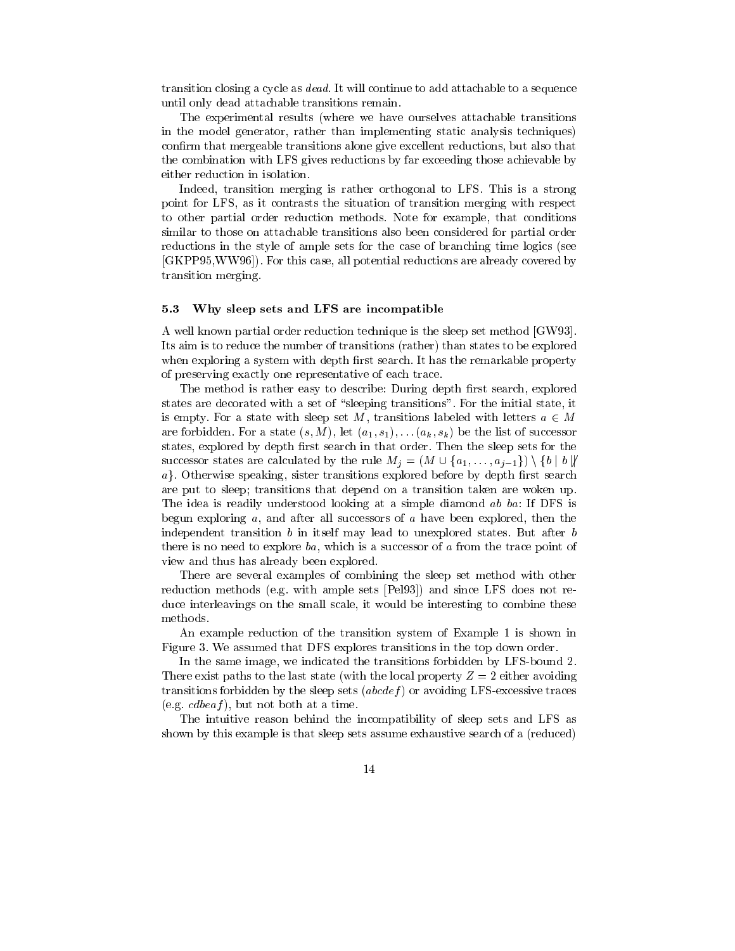transition closing a cycle as dead. It will continue to add attachable to a sequence until only dead attachable transitions remain.

The experimental results (where we have ourselves attachable transitions in the model generator, rather than implementing static analysis techniques) confirm that mergeable transitions alone give excellent reductions, but also that the combination with LFS gives reductions by far exceeding those achievable by either reduction in isolation.

Indeed, transition merging is rather orthogonal to LFS. This is a strong point for LFS, as it contrasts the situation of transition merging with respect to other partial order reduction methods. Note for example, that conditions similar to those on attachable transitions also been considered for partial order reductions in the style of ample sets for the case of branching time logics (see [GKPP95,WW96]). For this case, all potential reductions are already covered by transition merging.

### 5.3 Why sleep sets and LFS are incompatible

A well known partial order reduction technique is the sleep set method [GW93]. Its aim is to reduce the number of transitions (rather) than states to be explored when exploring a system with depth first search. It has the remarkable property of preserving exactly one representative of each trace.

The method is rather easy to describe: During depth first search, explored states are decorated with a set of "sleeping transitions". For the initial state, it is empty. For a state with sleep set M, transitions labeled with letters  $a \in M$ are for a state (since  $\mathbf{A}$ ; if  $\mathbf{A}$  is the list of successors of successors of successors of successors of successors of successors of successors of successors of successors of successors of successors of success states, explored by depth first search in that order. Then the sleep sets for the are forbidden. For a state  $(s, M)$ , let  $(a_1, s_1), \ldots (a_k, s_k)$  be the list of successor states, explored by depth first search in that order. Then the sleep sets for the successor states are calculated by the rule  $M_i = (M \cup \{$  $a$ . Otherwise speaking, sister transitions explored before by depth first search are put to sleep; transitions that depend on a transition taken are woken up. The idea is readily understood looking at a simple diamond ab ba: If DFS is begun exploring  $a$ , and after all successors of  $a$  have been explored, then the independent transition b in itself may lead to unexplored states. But after b there is no need to explore ba, which is a successor of  $a$  from the trace point of view and thus has already been explored.

There are several examples of combining the sleep set method with other reduction methods (e.g. with ample sets [Pel93]) and since LFS does not reduce interleavings on the small scale, it would be interesting to combine these methods.

An example reduction of the transition system of Example 1 is shown in Figure 3. We assumed that DFS explores transitions in the top down order.

In the same image, we indicated the transitions forbidden by LFS-bound 2. There exist paths to the last state (with the local property  $Z = 2$  either avoiding transitions forbidden by the sleep sets  $(abcdef)$  or avoiding LFS-excessive traces (e.g.  $cdbeaf$ ), but not both at a time.

The intuitive reason behind the incompatibility of sleep sets and LFS as shown by this example is that sleep sets assume exhaustive search of a (reduced)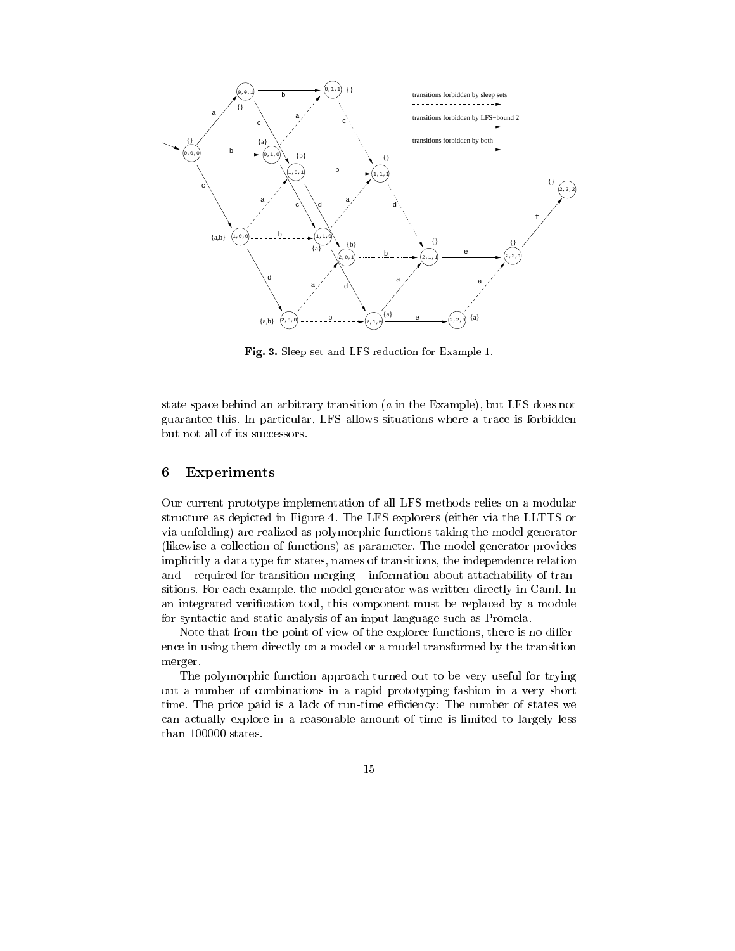

Fig. 3. Sleep set and LFS reduction for Example 1.

state space behind an arbitrary transition (a in the Example), but LFS does not guarantee this. In particular, LFS allows situations where a trace is forbidden but not all of its successors.

### 6Experiments

Our current prototype implementation of all LFS methods relies on a modular structure as depicted in Figure 4. The LFS explorers (either via the LLTTS or via unfolding) are realized as polymorphic functions taking the model generator (likewise a collection of functions) as parameter. The model generator provides implicitly a data type for states, names of transitions, the independence relation and  $-$  required for transition merging  $-$  information about attachability of transitions. For each example, the model generator was written directly in Caml. In an integrated verification tool, this component must be replaced by a module for syntactic and static analysis of an input language such as Promela.

Note that from the point of view of the explorer functions, there is no difference in using them directly on a model or a model transformed by the transition merger.

The polymorphic function approach turned out to be very useful for trying out a number of combinations in a rapid prototyping fashion in a very short time. The price paid is a lack of run-time efficiency: The number of states we can actually explore in a reasonable amount of time is limited to largely less than 100000 states.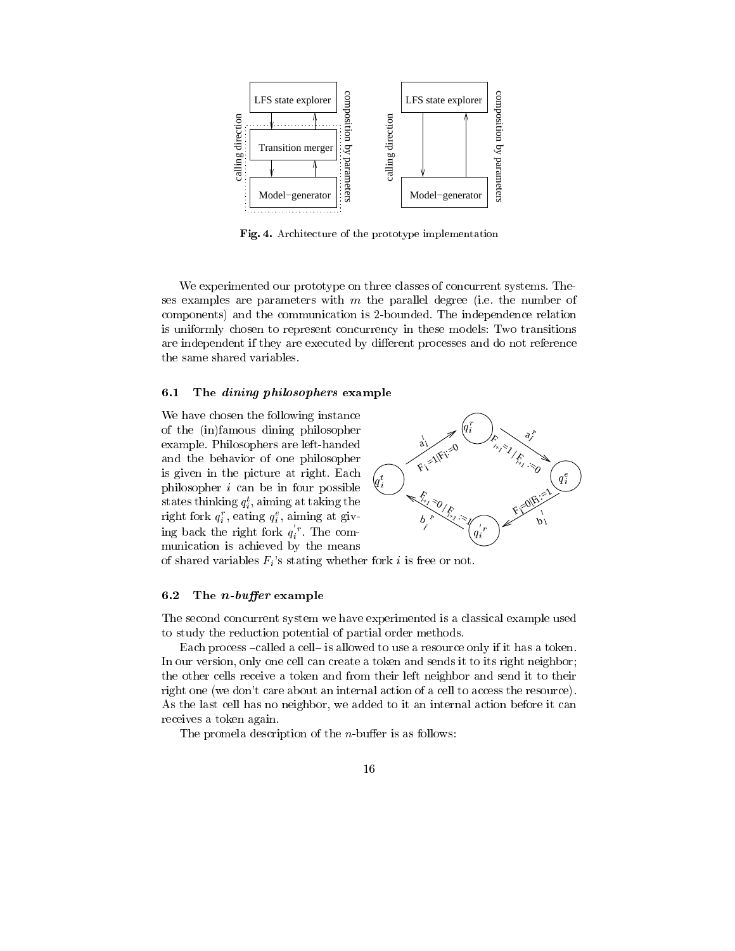

Fig. 4. Architecture of the prototype implementation

We experimented our prototype on three classes of concurrent systems. Theses examples are parameters with  $m$  the parallel degree (i.e. the number of components) and the communication is 2-bounded. The independence relation is uniformly chosen to represent concurrency in these models: Two transitions are independent if they are executed by different processes and do not reference the same shared variables.

# 6.1 The *dining philosophers* example

We have chosen the following instance of the (in)famous dining philosopher example. Philosophers are left-handed and the behavior of one philosopher is given in the picture at right. Each philosopher  $i$  can be in four possible states thinking  $q_i$ , aiming at taking the right fork  $q_i$  , eating  $q_i$  , aiming at giving back the right fork  $q_i^r$ . The communication is achieved by the means



of shared variables  $F_i$ 's stating whether fork i is free or not.

### 6.2 The *n*-buffer example

The second concurrent system we have experimented is a classical example used to study the reduction potential of partial order methods.

Each process  $-called$  a cell- is allowed to use a resource only if it has a token. In our version, only one cell can create a token and sends it to its right neighbor; the other cells receive a token and from their left neighbor and send it to their right one (we don't care about an internal action of a cell to access the resource). As the last cell has no neighbor, we added to it an internal action before it can receives a token again.

The promela description of the  $n$ -buffer is as follows: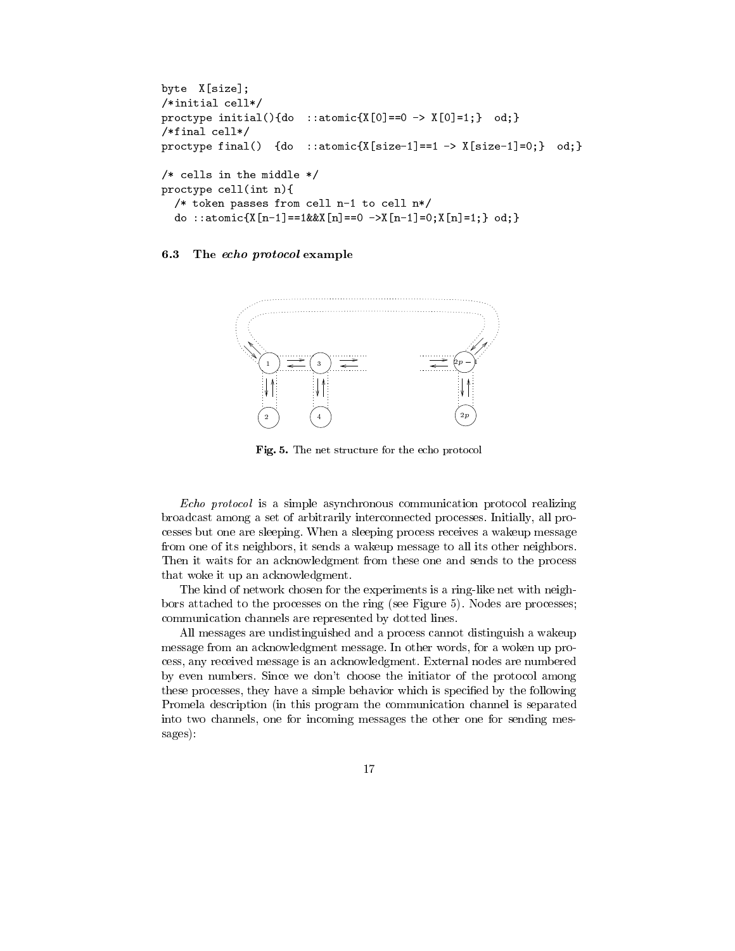```
byte X[size];
/*initial cell*/
proctype initial(){do ::atomic{X[0]==0 -> X[0]=1;} od;}
/*final cell*/
proctype final() {do ::atomic{X[size-1]==1 -> X[size-1]=0;} od;}
/* cells in the middle */
proctype cell(int n){
  /* token passes from cell n-1 to cell n*/
  do ::atomic{X[n-1]==1&&X[n]==0 ->X[n-1]=0;X[n]=1;} od;}
```
# 6.3 The echo protocol example



Fig. 5. The net structure for the echo protocol

Echo protocol is a simple asynchronous communication protocol realizing broadcast among a set of arbitrarily interconnected processes. Initially, all processes but one are sleeping. When a sleeping process receives a wakeup message from one of its neighbors, it sends a wakeup message to all its other neighbors. Then it waits for an acknowledgment from these one and sends to the process that woke it up an acknowledgment.

The kind of network chosen for the experiments is a ring-like net with neighbors attached to the processes on the ring (see Figure 5). Nodes are processes; communication channels are represented by dotted lines.

All messages are undistinguished and a process cannot distinguish a wakeup message from an acknowledgment message. In other words, for a woken up process, any received message is an acknowledgment. External nodes are numbered by even numbers. Since we don't choose the initiator of the protocol among these processes, they have a simple behavior which is specied by the following Promela description (in this program the communication channel is separated into two channels, one for incoming messages the other one for sending messages):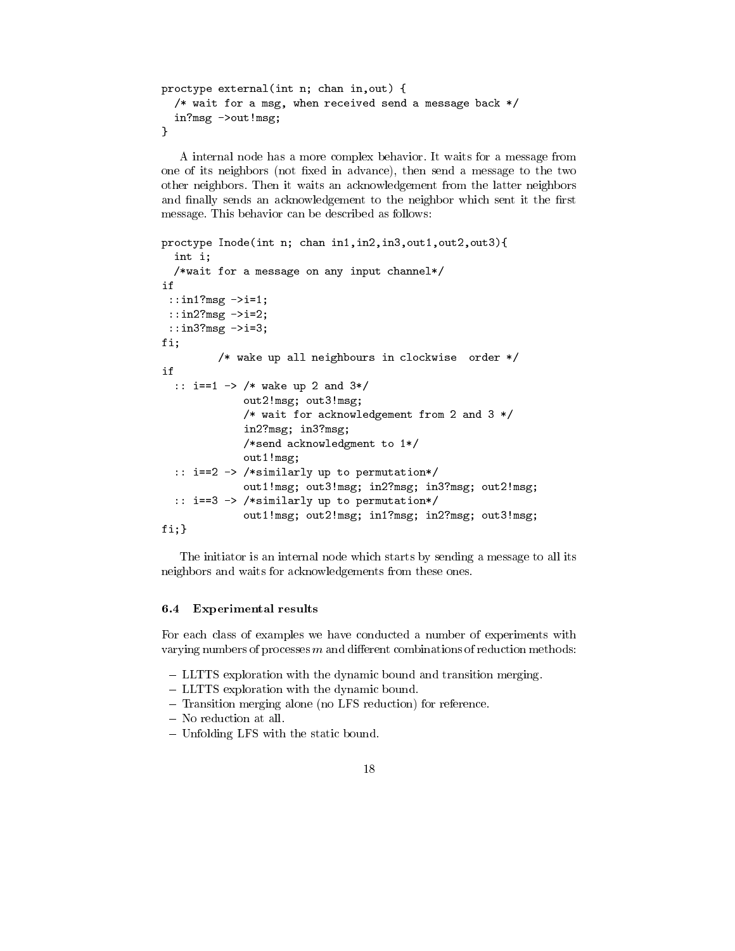```
proctype external(int n; chan in,out) {
  /* wait for a msg, when received send a message back */in?msg ->out!msg;
\mathcal{L}}
```
A internal node has a more complex behavior. It waits for a message from one of its neighbors (not fixed in advance), then send a message to the two other neighbors. Then it waits an acknowledgement from the latter neighbors and finally sends an acknowledgement to the neighbor which sent it the first message. This behavior can be described as follows:

```
proctype Inode(int n; chan in1,in2,in3,out1,out2,out3){
  int i;
  /*wait for a message on any input channel*/
if
 ::in1?msg ->i=1;
::in2?msg ->i=2;
 ::in3?msg ->i=3;
fi;
         /* wake up all neighbours in clockwise order */
  :: i==1 -> /* wake up 2 and 3*/
             out2!msg; out3!msg;
             /* wait for acknowledgement from 2 and 3 */
             in2?msg; in3?msg;
             /*send acknowledgment to 1*/
             out1!msg;
  :: i==2 -> /*similarly up to permutation*/
             out1!msg; out3!msg; in2?msg; in3?msg; out2!msg;
  :: i==3 -> /*similarly up to permutation*/
             out1!msg; out2!msg; in1?msg; in2?msg; out3!msg;
fi;}
```
The initiator is an internal node which starts by sending a message to all its neighbors and waits for acknowledgements from these ones.

### 6.4 Experimental results

For each class of examples we have conducted a number of experiments with varying numbers of processes  $m$  and different combinations of reduction methods:

- LLTTS exploration with the dynamic bound and transition merging.
- LLTTS exploration with the dynamic bound.
- ${\rm -}$  Transition merging alone (no LFS reduction) for reference.
- { No reduction at all.
- Unfolding LFS with the static bound.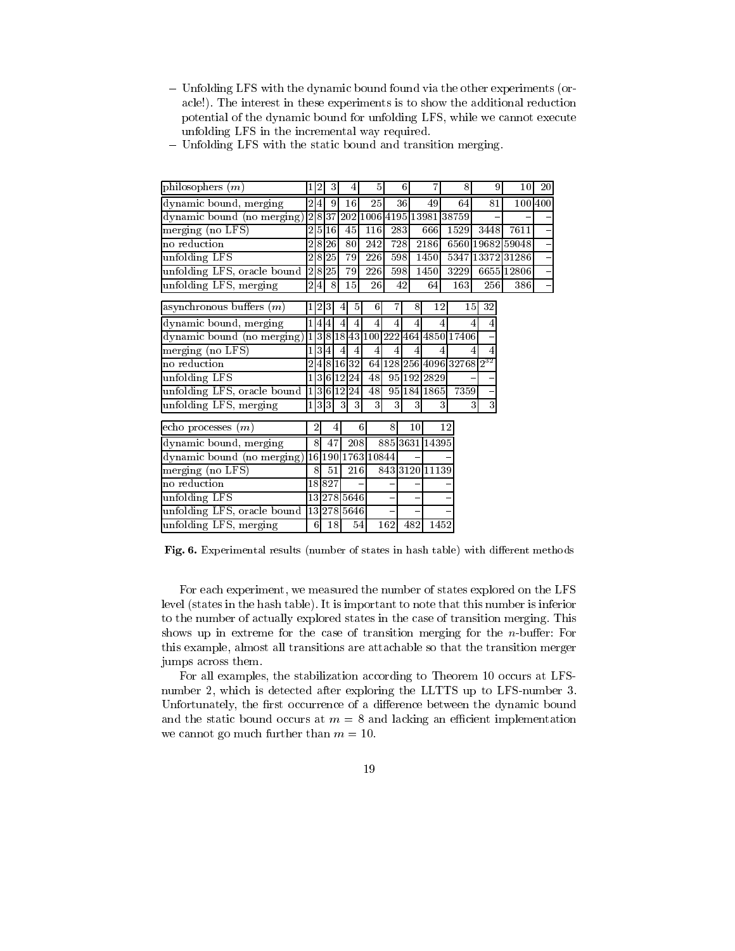{ Unfolding LFS with the dynamic bound found via the other experiments (oracle!). The interest in these experiments is to show the additional reduction potential of the dynamic bound for unfolding LFS, while we cannot execute unfolding LFS in the incremental way required.

| philosophers $(m)$                      |                | 12             | 3         |    | 4              | 5                         |     | 6 <sup>1</sup> |                |                   |    | 8    | 9                                     | $10\,$           | 20      |
|-----------------------------------------|----------------|----------------|-----------|----|----------------|---------------------------|-----|----------------|----------------|-------------------|----|------|---------------------------------------|------------------|---------|
| dynamic bound, merging                  |                | 2 4            | 9         |    | 16             | 25                        |     | 36             |                | 49                |    | 64   | 81                                    |                  | 1001400 |
| dynamic bound (no merging)              |                |                |           |    |                | 2837202100641951398138759 |     |                |                |                   |    |      |                                       |                  |         |
| merging (no LFS)                        | 2              | $\overline{5}$ | <b>16</b> |    | 45             | 116                       | 283 |                |                | 666               |    | 1529 | 3448                                  | 7611             |         |
| no reduction                            | $\overline{2}$ | 8              | 26        |    | 80             | 242                       | 728 |                |                | 2186              |    |      |                                       | 6560 19682 59048 |         |
| unfolding LFS                           | $\overline{2}$ |                | 8 25      |    | 79             | 226                       | 598 |                |                | $\overline{1450}$ |    |      |                                       | 5347 13372 31286 |         |
| unfolding LFS, oracle bound             |                |                | 2 8 25    |    | 79             | 226                       | 598 |                |                | 1450              |    | 3229 |                                       | 6655 12806       |         |
| unfolding LFS, merging                  |                | 2 4            | 8         |    | 15             | 26                        |     | 42             |                | 64                |    | 163  | 256                                   | 386              |         |
| asynchronous buffers $(m)$              |                | 12             | 3         | 4  | 5              | 6                         | 7   |                | 8              | 12                |    | 15   | 32                                    |                  |         |
| dynamic bound, merging                  |                |                | 4 4       | 4  | $\overline{4}$ | 4                         | 4   |                | 4              |                   |    |      | 4<br>4                                |                  |         |
| dynamic bound (no merging)              |                | 1 3            | 8         | 18 |                | 43 100 222 464 4850 17406 |     |                |                |                   |    |      |                                       |                  |         |
| $merging$ (no LFS)                      | $\mathbf{1}$   | 3 4            |           | 4  | $\overline{4}$ | $\overline{4}$            | 4   |                | $\overline{4}$ |                   |    |      | 4                                     |                  |         |
| no reduction                            | 2              |                | 4 8       |    | 16 32          |                           |     |                |                |                   |    |      | 64 128 256 4096 32768 2 <sup>32</sup> |                  |         |
| unfolding LFS                           |                |                |           |    | 1 3 6 12 24    | 48                        |     |                |                | 95 192 2829       |    |      |                                       |                  |         |
| unfolding LFS, oracle bound             |                |                |           |    | 1 3 6 12 24    | 48                        |     |                |                | 95 184 1865       |    | 7359 |                                       |                  |         |
| unfolding LFS, merging                  |                |                | 1 3 3     | 3  | 3              | 3                         | 3   |                | 3              |                   | 3  | 3    | $\overline{3}$                        |                  |         |
| echo processes $(m)$                    |                | 2              |           | 4  |                | 6                         | 8   |                | $10\,$         |                   | 12 |      |                                       |                  |         |
| dynamic bound, merging                  |                | 8              | 47        |    | 208            |                           |     |                |                | 885 3631 14395    |    |      |                                       |                  |         |
| dynamic bound (no merging)              |                | 16             |           |    |                | 190 1763 10844            |     |                |                |                   |    |      |                                       |                  |         |
| merging (no LFS)                        |                | 8              | 51        |    | 216            |                           |     |                |                | 843 3120 11139    |    |      |                                       |                  |         |
| no reduction                            |                |                | 18827     |    |                |                           |     |                |                |                   |    |      |                                       |                  |         |
| unfolding LFS                           |                |                |           |    | 13 278 5646    |                           |     |                |                |                   |    |      |                                       |                  |         |
| unfolding LFS, oracle bound 13 278 5646 |                |                |           |    |                |                           |     |                |                |                   |    |      |                                       |                  |         |
| unfolding LFS, merging                  |                | 6              | 18        |    | 54             |                           | 162 |                | 482            | 1452              |    |      |                                       |                  |         |

- Unfolding LFS with the static bound and transition merging.

Fig. 6. Experimental results (number of states in hash table) with different methods

For each experiment, we measured the number of states explored on the LFS level (states in the hash table). It is important to note that this number is inferior to the number of actually explored states in the case of transition merging. This shows up in extreme for the case of transition merging for the  $n$ -buffer: For this example, almost all transitions are attachable so that the transition merger jumps across them.

For all examples, the stabilization according to Theorem 10 occurs at LFS number 2, which is detected after exploring the LLTTS up to LFS-number 3. Unfortunately, the first occurrence of a difference between the dynamic bound and the static bound occurs at  $m = 8$  and lacking an efficient implementation we cannot go much further than  $m = 10$ .